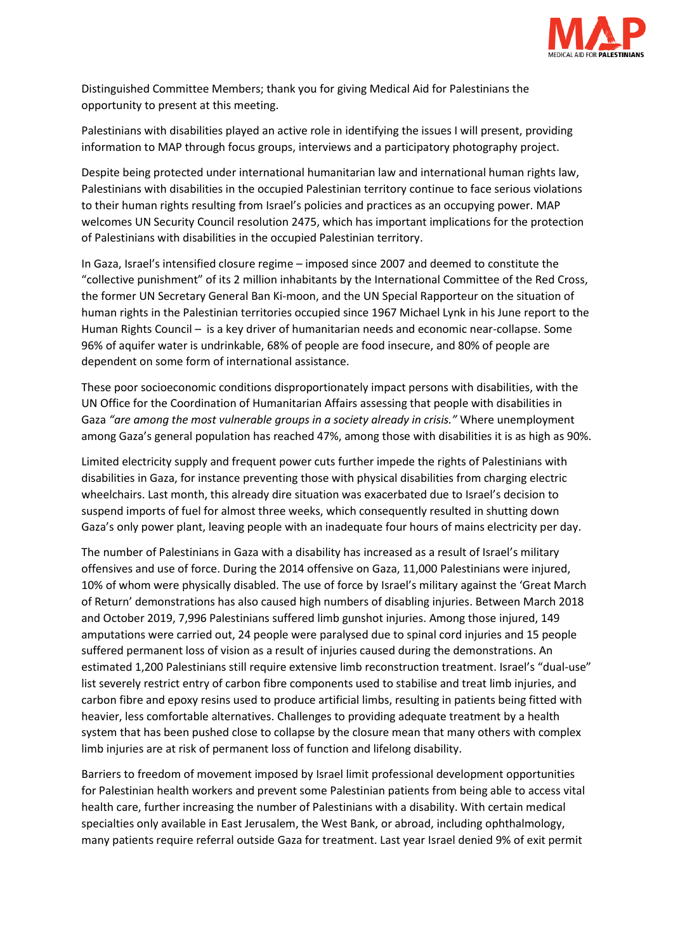

Distinguished Committee Members; thank you for giving Medical Aid for Palestinians the opportunity to present at this meeting.

Palestinians with disabilities played an active role in identifying the issues I will present, providing information to MAP through focus groups, interviews and a participatory photography project.

Despite being protected under international humanitarian law and international human rights law, Palestinians with disabilities in the occupied Palestinian territory continue to face serious violations to their human rights resulting from Israel's policies and practices as an occupying power. MAP welcomes UN Security Council resolution 2475, which has important implications for the protection of Palestinians with disabilities in the occupied Palestinian territory.

In Gaza, Israel's intensified closure regime – imposed since 2007 and deemed to constitute the "collective punishment" of its 2 million inhabitants by the International Committee of the Red Cross, the former UN Secretary General Ban Ki-moon, and the UN Special Rapporteur on the situation of human rights in the Palestinian territories occupied since 1967 Michael Lynk in his June report to the Human Rights Council – is a key driver of humanitarian needs and economic near-collapse. Some 96% of aquifer water is undrinkable, 68% of people are food insecure, and 80% of people are dependent on some form of international assistance.

These poor socioeconomic conditions disproportionately impact persons with disabilities, with the UN Office for the Coordination of Humanitarian Affairs assessing that people with disabilities in Gaza *"are among the most vulnerable groups in a society already in crisis."* Where unemployment among Gaza's general population has reached 47%, among those with disabilities it is as high as 90%.

Limited electricity supply and frequent power cuts further impede the rights of Palestinians with disabilities in Gaza, for instance preventing those with physical disabilities from charging electric wheelchairs. Last month, this already dire situation was exacerbated due to Israel's decision to suspend imports of fuel for almost three weeks, which consequently resulted in shutting down Gaza's only power plant, leaving people with an inadequate four hours of mains electricity per day.

The number of Palestinians in Gaza with a disability has increased as a result of Israel's military offensives and use of force. During the 2014 offensive on Gaza, 11,000 Palestinians were injured, 10% of whom were physically disabled. The use of force by Israel's military against the 'Great March of Return' demonstrations has also caused high numbers of disabling injuries. Between March 2018 and October 2019, 7,996 Palestinians suffered limb gunshot injuries. Among those injured, 149 amputations were carried out, 24 people were paralysed due to spinal cord injuries and 15 people suffered permanent loss of vision as a result of injuries caused during the demonstrations. An estimated 1,200 Palestinians still require extensive limb reconstruction treatment. Israel's "dual-use" list severely restrict entry of carbon fibre components used to stabilise and treat limb injuries, and carbon fibre and epoxy resins used to produce artificial limbs, resulting in patients being fitted with heavier, less comfortable alternatives. Challenges to providing adequate treatment by a health system that has been pushed close to collapse by the closure mean that many others with complex limb injuries are at risk of permanent loss of function and lifelong disability.

Barriers to freedom of movement imposed by Israel limit professional development opportunities for Palestinian health workers and prevent some Palestinian patients from being able to access vital health care, further increasing the number of Palestinians with a disability. With certain medical specialties only available in East Jerusalem, the West Bank, or abroad, including ophthalmology, many patients require referral outside Gaza for treatment. Last year Israel denied 9% of exit permit